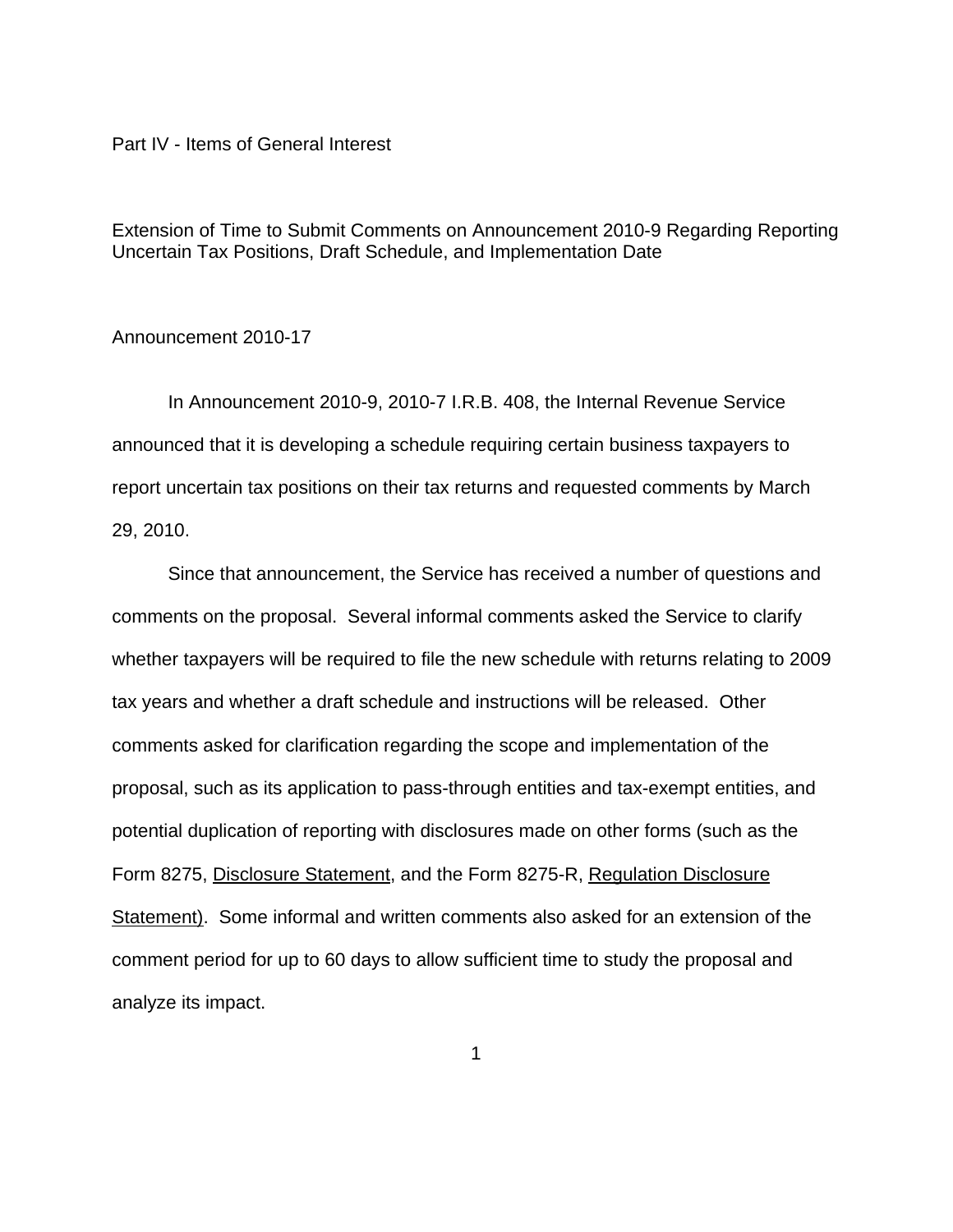Part IV - Items of General Interest

Extension of Time to Submit Comments on Announcement 2010-9 Regarding Reporting Uncertain Tax Positions, Draft Schedule, and Implementation Date

## Announcement 2010-17

In Announcement 2010-9, 2010-7 I.R.B. 408, the Internal Revenue Service announced that it is developing a schedule requiring certain business taxpayers to report uncertain tax positions on their tax returns and requested comments by March 29, 2010.

Since that announcement, the Service has received a number of questions and comments on the proposal. Several informal comments asked the Service to clarify whether taxpayers will be required to file the new schedule with returns relating to 2009 tax years and whether a draft schedule and instructions will be released. Other comments asked for clarification regarding the scope and implementation of the proposal, such as its application to pass-through entities and tax-exempt entities, and potential duplication of reporting with disclosures made on other forms (such as the Form 8275, Disclosure Statement, and the Form 8275-R, Regulation Disclosure Statement). Some informal and written comments also asked for an extension of the comment period for up to 60 days to allow sufficient time to study the proposal and analyze its impact.

1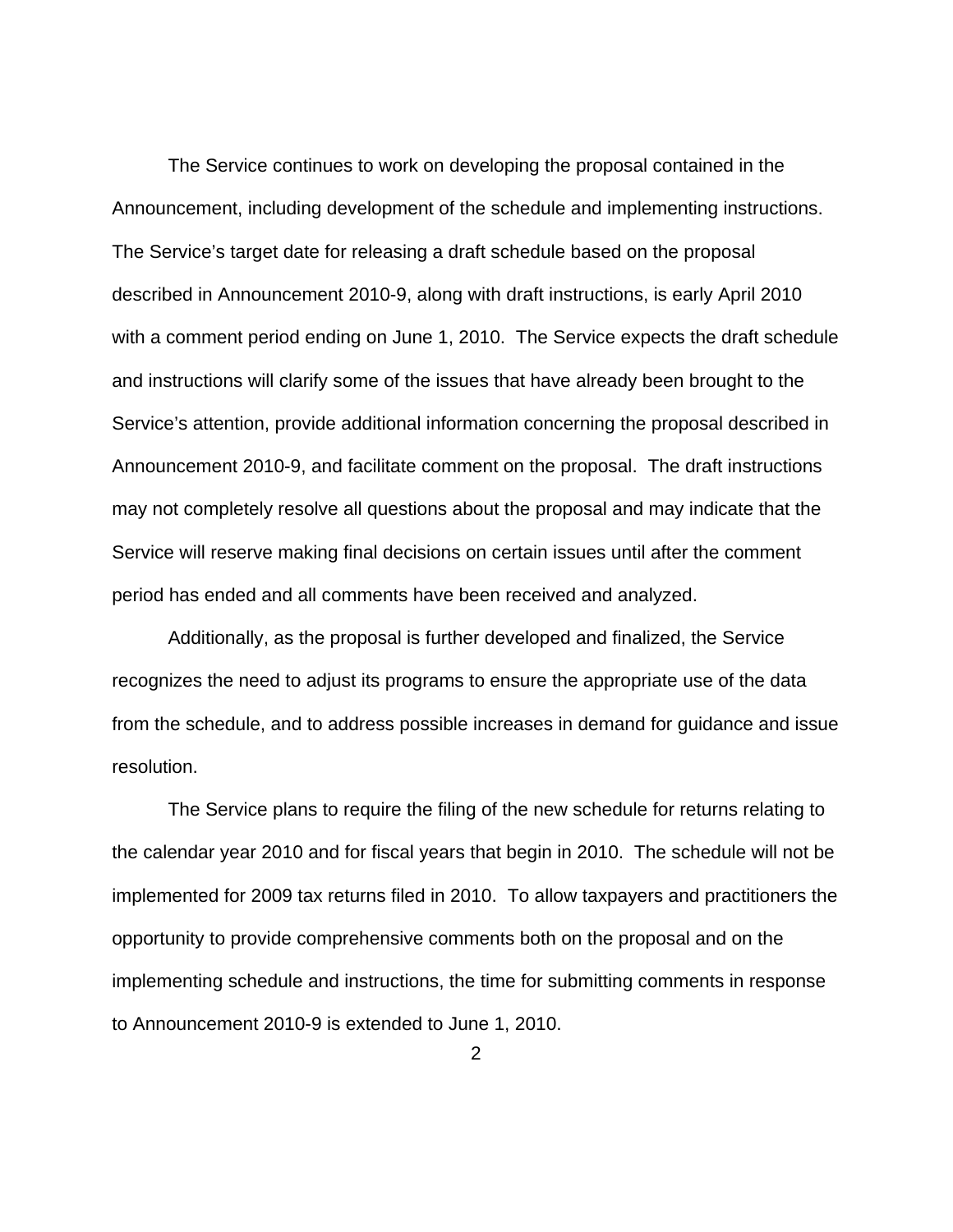The Service continues to work on developing the proposal contained in the Announcement, including development of the schedule and implementing instructions. The Service's target date for releasing a draft schedule based on the proposal described in Announcement 2010-9, along with draft instructions, is early April 2010 with a comment period ending on June 1, 2010. The Service expects the draft schedule and instructions will clarify some of the issues that have already been brought to the Service's attention, provide additional information concerning the proposal described in Announcement 2010-9, and facilitate comment on the proposal. The draft instructions may not completely resolve all questions about the proposal and may indicate that the Service will reserve making final decisions on certain issues until after the comment period has ended and all comments have been received and analyzed.

Additionally, as the proposal is further developed and finalized, the Service recognizes the need to adjust its programs to ensure the appropriate use of the data from the schedule, and to address possible increases in demand for guidance and issue resolution.

The Service plans to require the filing of the new schedule for returns relating to the calendar year 2010 and for fiscal years that begin in 2010. The schedule will not be implemented for 2009 tax returns filed in 2010.To allow taxpayers and practitioners the opportunity to provide comprehensive comments both on the proposal and on the implementing schedule and instructions, the time for submitting comments in response to Announcement 2010-9 is extended to June 1, 2010.

2